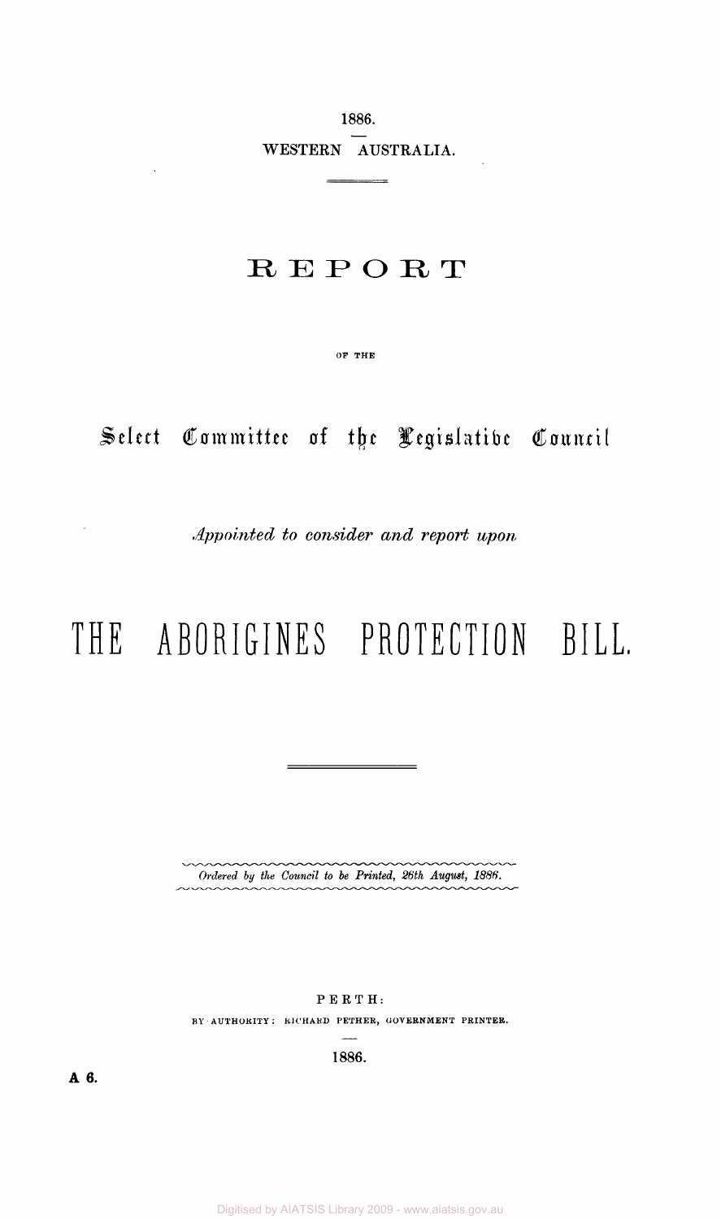1886. WESTERN AUSTRALIA.

 $\overline{\phantom{a}}$ 

## R E P O R T

OF THE

Select Committee of the Legislative Council

*Appointed to consider and report upon* 

# **T H E ABORIGINE S PROTECTIO N BIL L**

*Ordered by the Council to be Printed, 26th August, 1886.* 

PERTH:

BY AUTHORITY : RICHARD PETHER, GOVERNMENT PRINTER.

1886.

**A 6.**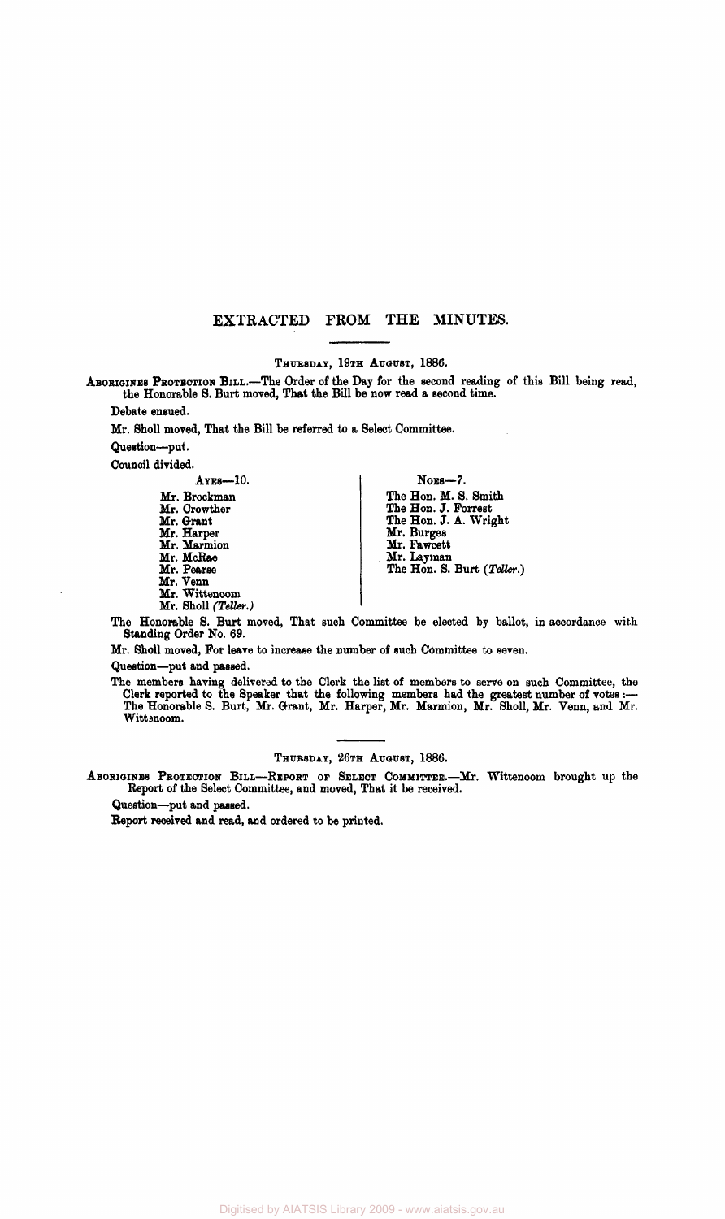#### EXTRACTED FROM THE MINUTES.

THURSDAY, 19TH AUGUST, 1886.

ABORIGINES PROTECTION BILL.—The Order of the Day for the second reading of this Bill being read, the Honorable 8. Burt moved, That the Bill be now read a second time.

Debate ensued.

Mr. Sholl moved, That the Bill be referred to a Select Committee-

Question—put.

Council divided.

AYES—10.

| Mr. Brockman        |
|---------------------|
| Mr. Crowther        |
| Mr. Grant           |
| Mr. Harper          |
| Mr. Marmion         |
| Mr. McRae           |
| Mr. Pearse          |
| Mr. Venn            |
| Mr. Wittenoom       |
| Mr. Sholl (Teller.) |
|                     |

NOES—7. The Hon. M. S. Smith The Hon. J. Forrest The Hon. J. A. Wright Mr. Burges Mr. Fawcett Mr. Layman The Hon. S. Burt *(Teller.)* 

The Honorable S. Burt moved, That such Committee be elected by ballot, in accordance with Standing Order No. 69.

Mr. Sholl moved, For leave to increase the number of such Committee to seven.

Question—put and passed.

The members having delivered to the Clerk the list of members to serve on such Committee, the Clerk reported to the Speaker that the following members had the greatest number of votes:— The Honorable S. Burt, Mr. Grant, Mr. Harper, Mr. Marmion, Mr. Sholl, Mr. Venn, and Mr. Wittenoom.

THURSDAY, 26TH AUGUST, 1886.

ABORIGINES PROTECTION BILL—REPORT OP SELECT COMMITTEE.—Mr. Wittenoom brought up the Report of the Select Committee, and moved, That it be received.

Question—put and passed.

Report received and read, and ordered to be printed.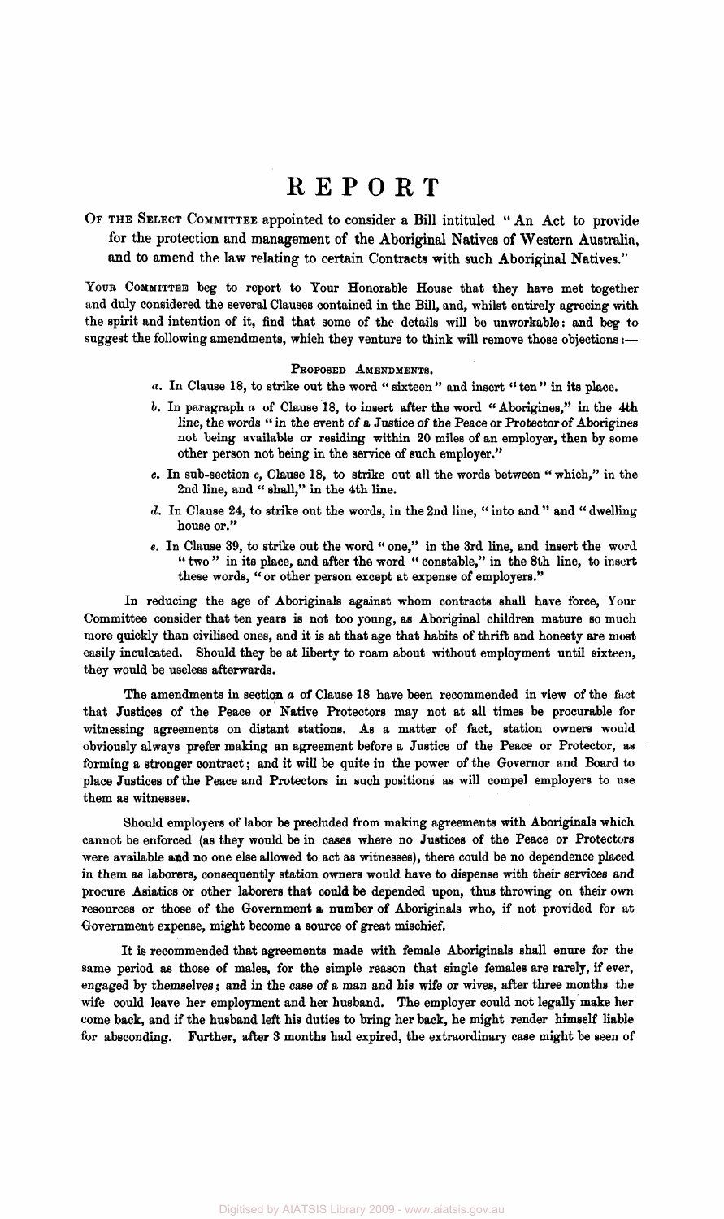### REPOR T

OF THE SELECT COMMITTEE appointed to consider a Bill intituled "An Act to provide for the protection and management of the Aboriginal Natives of Western Australia, and to amend the law relating to certain Contracts with such Aboriginal Natives."

YOUR COMMITTEE beg to report to Your Honorable House that they have met together and duly considered the several Clauses contained in the Bill, and, whilst entirely agreeing with the spirit and intention of it, find that some of the details will be unworkable: and beg to suggest the following amendments, which they venture to think will remove those objections:—

#### PROPOSED AMENDMENTS.

- *a.* In Clause 18, to strike out the word " sixteen " and insert " ten " in its place.
- *b.* In paragraph *a* of Clause 18, to insert after the word " Aborigines," in the 4th line, the words " in the event of a Justice of the Peace or Protector of Aborigines not being available or residing within 20 miles of an employer, then by some other person not being in the service of such employer."
- c. In sub-section c, Clause 18, to strike out all the words between " which," in the 2nd line, and " shall," in the 4th line.
- *d.* In Clause 24, to strike out the words, in the 2nd line, " into and " and " dwelling house or."
- e. In Clause 39, to strike out the word " one," in the 3rd line, and insert the word " two" in its place, and after the word " constable," in the 8th line, to insert these words, "or other person except at expense of employers."

In reducing the age of Aboriginals against whom contracts shall have force, Your Committee consider that ten years is not too young, as Aboriginal children mature so much more quickly than civilised ones, and it is at that age that habits of thrift and honesty are most easily inculcated. Should they be at liberty to roam about without employment until sixteen, they would be useless afterwards.

The amendments in section *a* of Clause 18 have been recommended in view of the fact that Justices of the Peace or Native Protectors may not at all times be procurable for witnessing agreements on distant stations. As a matter of fact, station owners would obviously always prefer making an agreement before a Justice of the Peace or Protector, as forming a stronger contract; and it will be quite in the power of the Governor and Board to place Justices of the Peace and Protectors in such positions as will compel employers to use them as witnesses.

Should employers of labor be precluded from making agreements with Aboriginals which cannot be enforced (as they would be in cases where no Justices of the Peace or Protectors were available and no one else allowed to act as witnesses), there could be no dependence placed in them as laborers, consequently station owners would have to dispense with their services and procure Asiatics or other laborers that could be depended upon, thus throwing on their own resources or those of the Government a number of Aboriginals who, if not provided for at Government expense, might become a source of great mischief.

It is recommended that agreements made with female Aboriginals shall enure for the same period as those of males, for the simple reason that single females are rarely, if ever, engaged by themselves; and in the case of a man and his wife or wives, after three months the wife could leave her employment and her husband. The employer could not legally make her come back, and if the husband left his duties to bring her back, he might render himself liable for absconding. Further, after 3 months had expired, the extraordinary case might be seen of